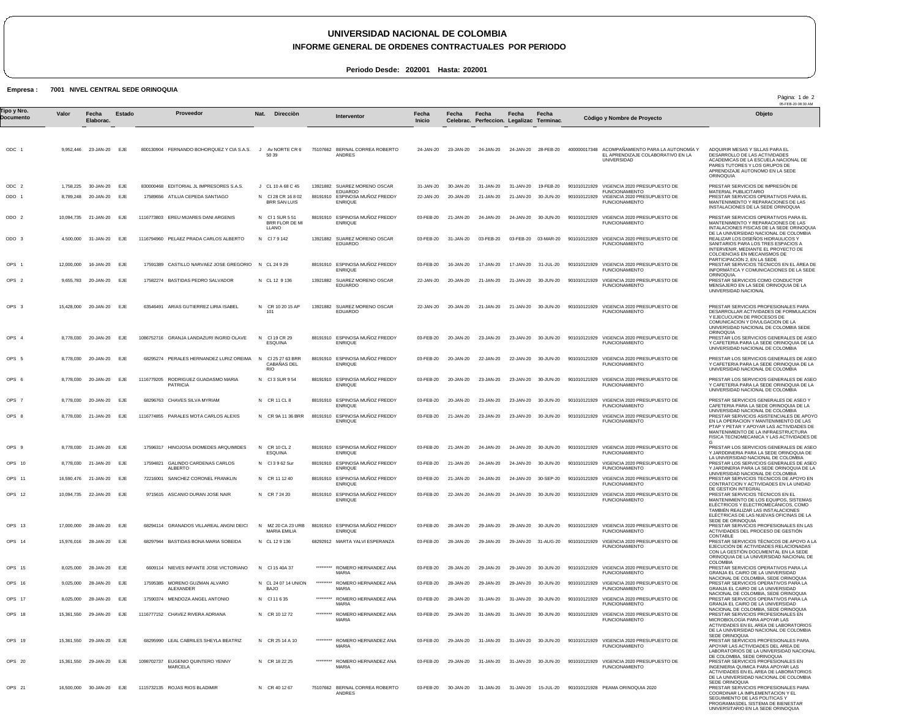## **UNIVERSIDAD NACIONAL DE COLOMBIA**

**INFORME GENERAL DE ORDENES CONTRACTUALES POR PERIODO**

**Periodo Desde: 202001 Hasta: 202001**

### **Empresa : 7001 NIVEL CENTRAL SEDE ORINOQUIA**

05-FEB-20 08:30 AM ODC 1 ODC 2 ODO 1 ODO 2 ODO 3 OPS 1 OPS 2 OPS 3 OPS 4 OPS 5 OPS 6 OPS 7 OPS 8 OPS 9 OPS 10 OPS 11 OPS 12 OPS 13 OPS 14 OPS 15 OPS 16 OPS 17 OPS 18 OPS 19 OPS 20 OPS 21 9,952,446 23-JAN-20 1,758,225 8,789,248 10,094,735 21-JAN-20 4,500,000 12,000,000 9,655,783 20-JAN-20 15,428,000 8,778,030 20-JAN-20 8,778,030 20-JAN-20 EJE 8,778,030 8,778,030 20-JAN-20 8,778,030 21-JAN-20 8,778,030 21-JAN-20 EJE 8,778,030 21-JAN-20 EJE 16,590,476 21-JAN-20 10,094,735 22-JAN-20 EJE 17,000,000 15,976,016 28-JAN-20 EJE 8,025,000 9,025,000 28-JAN-20 EJE 8,025,000 28-JAN-20 EJE 15,361,550 15,361,550 29-JAN-20 EJE 15,361,550 29-JAN-20 EJE 16,500,000 30-JAN-20 EJE **Valor** 30-JAN-20 20-JAN-20 31-JAN-20 16-JAN-20 20-JAN-20 20-JAN-20 28-JAN-20 28-JAN-20 29-JAN-20 **Fecha Elaborac.** EJE EJE EJE EJE EJE EJE EJE EJE EJE EJE EJE EJE EJE EJE EJE EJE **Estado** 800130904 FERNANDO BOHORQUEZ Y CIA S.A.S. 830000468 EDITORIAL JL IMPRESORES S.A.S. 17589656 ATILUA CEPEDA SANTIAGO 1116773803 EREU MIJARES DANI ARGENIS 1116794960 PELAEZ PRADA CARLOS ALBERTO 17591389 CASTILLO NARVAEZ JOSE GREGORIO N CL 24 9 29 17582274 BASTIDAS PEDRO SALVADOR 63546491 ARIAS GUTIERREZ LIRIA ISABEL 1086752716 GRANJA LANDAZURI INGRID OLAVE 68295274 PERALES HERNANDEZ LURIZ OREIMA 1116779205 RODRIGUEZ GUADASMO MARIA PATRICIA 68296763 CHAVES SILVA MYRIAM 1116774855 PARALES MOTA CARLOS ALEXIS 17596317 HINOJOSA DIOMEDES ARQUIMIDES 17594821 GALINDO CARDENAS CARLOS 72216001 SANCHEZ CORONEL FRANKLIN 9715615 ASCANIO DURAN JOSE NAIR 68294114 GRANADOS VILLAREAL ANGNI DEICI 68297944 BASTIDAS BONA MARIA SOBEIDA 6609114 NIEVES INFANTE JOSE VICTORIANO 17595385 MORENO GUZMAN ALVARO 17590374 MENDOZA ANGEL ANTONIO 1116777152 CHAVEZ RIVERA ADRIANA 68295990 LEAL CABRILES SHEYLA BEATRIZ 1098702737 EUGENIO QUINTERO YENNY 1115732135 ROJAS RIOS BLADIMIR ALBERTO ALEXANDER MARCELA J Av NORTE CR 6 J CL 10 A 68 C 45 N Cl 28 CR 16 8 02 N Cl 1 SUR 5 51 BRR FLOR DE MI LLANO N Cl 7 9 142 N CL 12 9 136 N CR 10 20 15 AP N N N Cl 3 SUR 9 54 N CR 11 CL 8 N CR 9A 11 36 BRR N CR 10 CL 2 N Cl 3 9 62 Sur N CR 11 12 40 N CR 7 24 20 N N CL 12 9 136 N Cl 15 40A 37 N CL 24 07 14 UNION N Cl 11 6 35 N CR 10 12 72 N CR 25 14 A 10 N CR 18 22 25 N CR 40 12 67 **Nat. Direcciòn** 50 39 BRR SAN LUIS 101 Cl 19 CR 29 ESQUINA Cl 25 27 63 BRR CABAÑAS DEL RIO **ESQUINA**  MZ 20 CA 23 URB MARIA EMILIA BAJO 75107662 BERNAL CORREA ROBERTO 13921882 88191910 88191910 ESPINOSA MUÑOZ FREDDY ENRIQUE 13921882 SUAREZ MORENO OSCAR 88191910 ESPINOSA MUÑOZ FREDDY 13921882 SUAREZ MORENO OSCAR 13921882 SUAREZ MORENO OSCAR 88191910 ESPINOSA MUÑOZ FREDDY ENRIQUE 88191910 ESPINOSA MUÑOZ FREDDY 88191910 ESPINOSA MUÑOZ FREDDY ENRIQUE 88191910 ESPINOSA MUÑOZ FREDDY 88191910 ESPINOSA MUÑOZ FREDDY 88191910 ESPINOSA MUÑOZ FREDDY 88191910 ESPINOSA MUÑOZ FREDDY 88191910 ESPINOSA MUÑOZ FREDDY 88191910 ESPINOSA MUÑOZ FREDDY 88191910 ESPINOSA MUÑOZ FREDDY 68292912 MARTA YALVI ESPERANZA \*\*\*\*\*\*\*\*\* \*\*\*\*\*\*\*\*\* \*\*\*\*\*\*\*\*\* \*\*\*\*\*\*\*\*\* ROMERO HERNANDEZ ANA \*\*\*\*\*\*\*\*\* ROMERO HERNANDEZ ANA \*\*\*\*\*\*\*\*\* 75107662 BERNAL CORREA ROBERTO ANDRES SUAREZ MORENO OSCAR EDUARDO ESPINOSA MUÑOZ FREDDY ENRIQUE EDUARDO ENRIQUE EDUARDO EDUARDO **ENRIQUE ENRIQUE** ENRIQUE ENRIQUE ENRIQUE **ENRIQUE** ENRIQUE ENRIQUE ROMERO HERNANDEZ ANA MARIA ROMERO HERNANDEZ ANA MARIA ROMERO HERNANDEZ ANA MARIA **MARIA** MARIA ROMERO HERNANDEZ ANA MARIA ANDRES 24-JAN-20 31-JAN-20 22-JAN-20 03-FEB-20 03-FEB-20 03-FEB-20 22-JAN-20 22-JAN-20 03-FEB-20 03-FEB-20 03-FEB-20 03-FEB-20 03-FEB-20 03-FEB-20 03-FEB-20 03-FEB-20 03-FEB-20 03-FEB-20 03-FEB-20 03-FEB-20 03-FEB-20 03-FEB-20 03-FEB-20 03-FEB-20 03-FEB-20 03-FEB-20 30-JAN-20 31-JAN-20 31-JAN-20 15-JUL-20 901010121928 PEAMA ORINOQUIA 2020 **Fecha Inicio** 23-JAN-20 30-JAN-20 20-JAN-20 21-JAN-20 31-JAN-20 16-JAN-20 20-JAN-20 20-JAN-20 20-JAN-20 20-JAN-20 20-JAN-20 20-JAN-20 21-JAN-20 21-JAN-20 21-JAN-20 21-JAN-20 22-JAN-20 28-JAN-20 28-JAN-20 28-JAN-20 28-JAN-20 28-JAN-20 29-JAN-20 29-JAN-20 29-JAN-20 **Fecha Celebrac.** 24-JAN-20 31-JAN-20 21-JAN-20 24-JAN-20 03-FEB-20 17-JAN-20 21-JAN-20 21-JAN-20 23-JAN-20 22-JAN-20 23-JAN-20 23-JAN-20 23-JAN-20 24-JAN-20 24-JAN-20 24-JAN-20 24-JAN-20 29-JAN-20 29-JAN-20 29-JAN-20 29-JAN-20 31-JAN-20 31-JAN-20 31-JAN-20 31-JAN-20 **Fecha Perfeccion. Legalizac Terminac.** 24-JAN-20 28-FEB-20 31-JAN-20 19-FEB-20 21-JAN-20 30-JUN-20 24-JAN-20 30-JUN-20 03-FEB-20 03-MAR-20 17-JAN-20 31-JUL-20 21-JAN-20 30-JUN-20 21-JAN-20 30-JUN-20 23-JAN-20 30-JUN-20 22-JAN-20 30-JUN-20 23-JAN-20 30-JUN-20 23-JAN-20 30-JUN-20 23-JAN-20 30-JUN-20 24-JAN-20 30-JUN-20 24-JAN-20 30-JUN-20 24-JAN-20 30-SEP-20 24-JAN-20 30-JUN-20 29-JAN-20 30-JUN-20 29-JAN-20 31-AUG-20 29-JAN-20 30-JUN-20 29-JAN-20 30-JUN-20 31-JAN-20 30-JUN-20 31-JAN-20 31-JAN-20 30-JUN-20 31-JAN-20 30-JUN-20 **Fecha** 30-JUN-20 **Fecha** 400000017348 ACOMPAÑAMIENTO PARA LA AUTONOMÍA Y 901010121929 VIGENCIA 2020 PRESUPUESTO DE 901010121929 901010121929 VIGENCIA 2020 PRESUPUESTO DE FUNCIONAMIENTO 901010121929 VIGENCIA 2020 PRESUPUESTO DE 901010121929 VIGENCIA 2020 PRESUPUESTO DE 901010121929 VIGENCIA 2020 PRESUPUESTO DE 901010121929 VIGENCIA 2020 PRESUPUESTO DE 901010121929 VIGENCIA 2020 PRESUPUESTO DE FUNCIONAMIENTO 901010121929 VIGENCIA 2020 PRESUPUESTO DE 901010121929 VIGENCIA 2020 PRESUPUESTO DE FUNCIONAMIENTO 901010121929 VIGENCIA 2020 PRESUPUESTO DE 901010121929 VIGENCIA 2020 PRESUPUESTO DE 901010121929 VIGENCIA 2020 PRESUPUESTO DE 901010121929 VIGENCIA 2020 PRESUPUESTO DE 901010121929 VIGENCIA 2020 PRESUPUESTO DE 901010121929 VIGENCIA 2020 PRESUPUESTO DE 901010121929 VIGENCIA 2020 PRESUPUESTO DE FUNCIONAMIENTO 901010121929 VIGENCIA 2020 PRESUPUESTO DE 901010121929 VIGENCIA 2020 PRESUPUESTO DE 901010121929 VIGENCIA 2020 PRESUPUESTO DE 901010121929 VIGENCIA 2020 PRESUPUESTO DE 901010121929 VIGENCIA 2020 PRESUPUESTO DE 901010121929 VIGENCIA 2020 PRESUPUESTO DE 901010121929 VIGENCIA 2020 PRESUPUESTO DE EL APRENDIZAJE COLABORATIVO EN LA UNIVERSIDAD FUNCIONAMIENTO VIGENCIA 2020 PRESUPUESTO DE FUNCIONAMIENTO FUNCIONAMIENTO FUNCIONAMIENTO FUNCIONAMIENTO FUNCIONAMIENTO FUNCIONAMIENTO FUNCIONAMIENTO FUNCIONAMIENTO FUNCIONAMIENTO FUNCIONAMIENTO FUNCIONAMIENTO FUNCIONAMIENTO FUNCIONAMIENTO FUNCIONAMIENTO FUNCIONAMIENTO FUNCIONAMIENTO FUNCIONAMIENTO FUNCIONAMIENTO FUNCIONAMIENTO ADQUIRIR MESAS Y SILLAS PARA EL DESARROLLO DE LAS ACTIVIDADES ACADEMICAS DE LA ESCUELA NACIONAL DE PARES TUTORES Y LOS GRUPOS DE APRENDIZAJE AUTONOMO EN LA SEDE ORINOQUIA PRESTAR SERVICIOS DE IMPRESIÓN DE<br>MATERIAL PUBLICITARIO<br>PRESTAR SERVICIOS OPERATIVOS PARA EL<br>MANTENIMIENTO Y REPARACIONES DE LAS<br>INSTALACIONES DE LA SEDE ORINOQUIA PRESTAR SERVICIOS OPERATIVOS PARA EL<br>MANTENIMIENTO Y REPARACIONES DE LAS<br>INTALACIONES FISICAS DE LA SEDE ORINOQUIA<br>DE LA UNIVERSIDAD NACIONAL DE COLOMBIA<br>REALIZAR LOS DISEÑOS HIDRAULICOS Y SANITARIOS PARA LOS TRES ESPACIOS A INTERVENIR, MEDIANTE EL PROYECTO DE COLCIENCIAS EN MECANISMOS DE PARTICIPACIÒN 2, EN LA SEDE PRESTAR SERVICIOS TÉCNICOS EN EL ÁREA DE INFORMÁTICA Y COMUNICACIONES DE LA SEDE ORINOQUIA. PRESTAR SERVICIOS COMO CONDUCTOR MENSAJERO EN LA SEDE ORINOQUIA DE LA UNIVERSIDAD NACIONAL PRESTAR SERVICIOS PROFESIONALES PARA DESARROLLAR ACTIVIDADES DE FORMULACION<br>Y EJECUCUION DE PROCESOS DE<br>COMUNICACION Y DIVULGACION DE LA<br>UNIVERSIDAD NACIONAL DE COLOMBIA SEDE ORINOQUIA PRESTAR LOS SERVICIOS GENERALES DE ASEO Y CAFETERIA PARA LA SEDE ORINOQUIA DE LA UNIVERSIDAD NACIONAL DE COLOMBIA PRESTAR LOS SERVICIOS GENERALES DE ASEO Y CAFETERIA PARA LA SEDE ORINOQUIA DE LA UNIVERSIDAD NACIONAL DE COLOMBIA PRESTAR LOS SERVICIOS GENERALES DE ASEO Y CAFETERIA PARA LA SEDE ORINOQUIA DE LA UNIVERSIDAD NACIONAL DE COLOMBIA PRESTAR SERVICIOS GENERALES DE ASEO Y<br>CAFETERIA PARA LA SEDE ORINOQUIA DE LA<br>UNIVERSIDAD NACIONAL DE COLOMBIA<br>PRESTAR SERVICIOS ASISTENCIALES DE APOYO EN LA OPERACION Y MANTENIMIENTO DE LAS PTAP Y PETAR Y APOYAR LAS ACTIVIDADES DE MANTENIMIENTO DE LA INFRAESTRUCTURA FISICA TECNOMECANICA Y LAS ACTIVIDADES DE G PRESTAR LOS SERVICIOS GENERALES DE ASEO Y JARDDINERIA PARA LA SEDE ORINOQUIA DE LA UNIVERSIDAD NACIONAL DE COLOMBIA PRESTAR LOS SERVICIOS GENERALES DE ASEO Y JARDINERIA PARA LA SEDE ORINOQUIA DE LA UNIVERSIDAD NACIONAL DE COLOMBIA PRESTAR SERVICIOS TECNICOS DE APOYO EN CONTRATCION Y ACTIVIDADES EN LA UNIDAD DE GESTION INTEGRAL<br>PRESTAR SERVICIOS TÉCNICOS EN EL<br>MANTENIMIENTO DE LOS EQUIPOS, SISTEMAS<br>ELÉCTRICOS Y ELECTROMECÁNICOS, COMO<br>TAMBIÉN REALIZAR LAS INSTALACIONES ELÉCTRICAS DE LAS NUEVAS OFICINAS DE LA<br>SEDE DE ORINOOUIA SEDE DE ORINOQUIA<br>PRESTAR SERVICIOS PROFESIONALES EN LAS<br>ACTIVIDADES DEL PROCESO DE GESTIÒN<br>CONTABLE EJECUCION DE ACTIVIDADES RELACIONADAS<br>CON LA GESTIÒN DOCUMENTAL EN LA SEDE<br>ORINOQUIA DE LA UNIVERSIDAD NACIONAL DE<br>COLOMBIA<br>PRESTAR SERVICIOS OPERATIVOS PARA LA GRANJA EL CAIRO DE LA UNIVERSIDAD NACIONAL DE COLOMBIA, SEDE ORINOQUIA PRESTAR SERVICIOS OPERATIVOS PARA LA GRANJA EL CAIRO DE LA UNIVERSIDAD NACIONAL DE COLOMBIA, SEDE ORINOQUIA PRESTAR SERVICIOS OPERATIVOS PARA LA GRANJA EL CAIRO DE LA UNIVERSIDAD NACIONAL DE COLOMBIA, SEDE ORINOQUIA<br>PRESTAR SERVICIOS PROFESIONALES EN<br>MICROBIOLOGÌA PARA APOYAR LAS<br>ACTIVIDADES EN EL AREA DE LABORATORIOS DE LA UNIVERSIDAD NACIONAL DE COLOMBIA<br>SEDE ORINOQUIA SEDE ORINOQUIA PRESTAR SERVICIOS PROFESIONALES PARA APOYAR LAS ACTIVIDADES DEL AREA DE LABORATORIOS DE LA UNIVERSIDAD NACIONAL DE COLOMBIA, SEDE ORINOQUIA PRESTAR SERVICIOS PROFESIONALES EN INGENIERIA QUIMICA PARA APOYAR LAS ACTIVIDADES EN EL AREA DE LABORATORIOS DE LA UNIVERSIDAD NACIONAL DE COLOMBIA SEDE ORINOQUIA PRESTAR SERVICIOS PROFESIONALES PARA Tipo y Nro.<br>"Province a Valor Fecha Estado Proveedor Nat. Direcciòn Interventor Fecha Fecha Fecha Fecha Computer a variante i a computator a variante del Dijeto **Documento Proveedor Interventor Còdigo y Nombre de Proyecto**

Pàgina: 1 de 2

PRESTAR SERVICIOS TÈCNICOS DE APOYO A LA COORDINAR LA IMPLEMENTACION Y EL SEGUIMIENTO DE LAS POLITICAS Y PROGRAMASDEL SISTEMA DE BIENESTAR UNIVERSITARIO EN LA SEDE ORINOQUIA